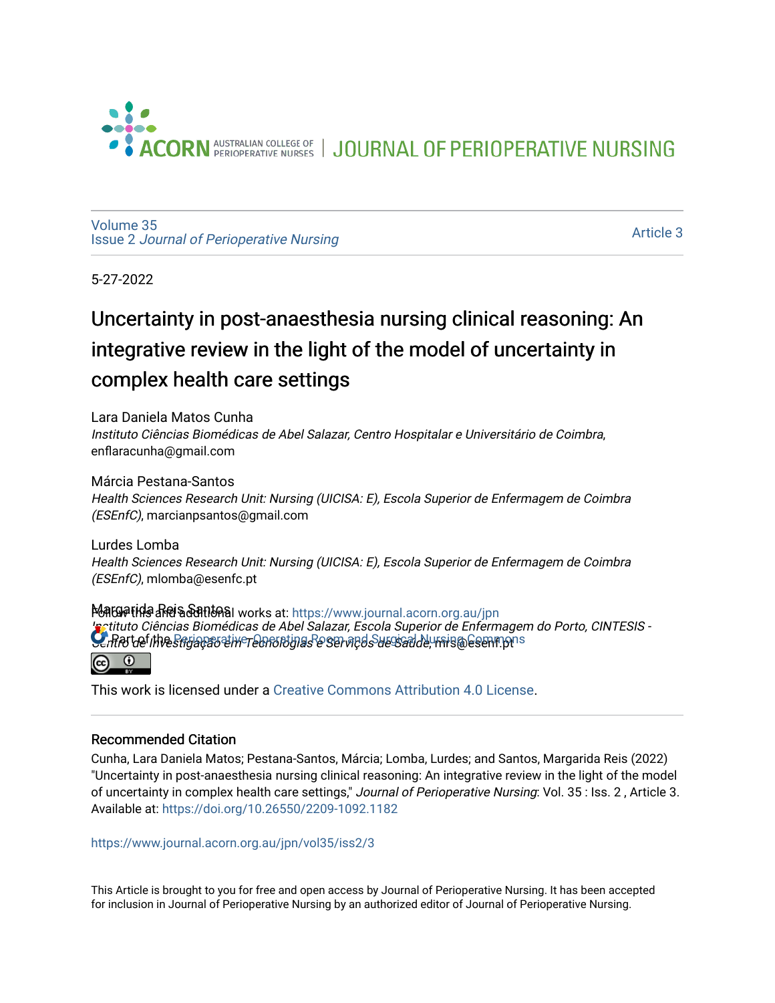

JOURNAL OF PERIOPERATIVE NURSING

[Volume 35](https://www.journal.acorn.org.au/jpn/vol35) Issue 2 [Journal of Perioperative Nursing](https://www.journal.acorn.org.au/jpn/vol35/iss2)

[Article 3](https://www.journal.acorn.org.au/jpn/vol35/iss2/3) 

5-27-2022

# Uncertainty in post-anaesthesia nursing clinical reasoning: An integrative review in the light of the model of uncertainty in complex health care settings

Lara Daniela Matos Cunha Instituto Ciências Biomédicas de Abel Salazar, Centro Hospitalar e Universitário de Coimbra, enflaracunha@gmail.com

### Márcia Pestana-Santos

Health Sciences Research Unit: Nursing (UICISA: E), Escola Superior de Enfermagem de Coimbra (ESEnfC), marcianpsantos@gmail.com

Lurdes Lomba Health Sciences Research Unit: Nursing (UICISA: E), Escola Superior de Enfermagem de Coimbra (ESEnfC), mlomba@esenfc.pt

Margaride ନିର୍ଯ୍ୟକ୍ଷ ନିର୍ଯ୍ୟାଦି କ୍ଷା works at: https://www.journal.acorn.org.au/jpn  $\Omega$ tituto Ciências Biomédicas de Abel Salazar, Escola Superior de Enfermagem do Porto, CINTESIS -**C**entro de Investigação e increations se serviços de Saeciada, mais a commons  $\overline{\bullet}$ ര

This work is licensed under a [Creative Commons Attribution 4.0 License](https://creativecommons.org/licenses/by/4.0/).

### Recommended Citation

Cunha, Lara Daniela Matos; Pestana-Santos, Márcia; Lomba, Lurdes; and Santos, Margarida Reis (2022) "Uncertainty in post-anaesthesia nursing clinical reasoning: An integrative review in the light of the model of uncertainty in complex health care settings," Journal of Perioperative Nursing: Vol. 35 : Iss. 2 , Article 3. Available at:<https://doi.org/10.26550/2209-1092.1182>

[https://www.journal.acorn.org.au/jpn/vol35/iss2/3](10.26550/2209-1092.1182?utm_source=www.journal.acorn.org.au%2Fjpn%2Fvol35%2Fiss2%2F3&utm_medium=PDF&utm_campaign=PDFCoverPages)

This Article is brought to you for free and open access by Journal of Perioperative Nursing. It has been accepted for inclusion in Journal of Perioperative Nursing by an authorized editor of Journal of Perioperative Nursing.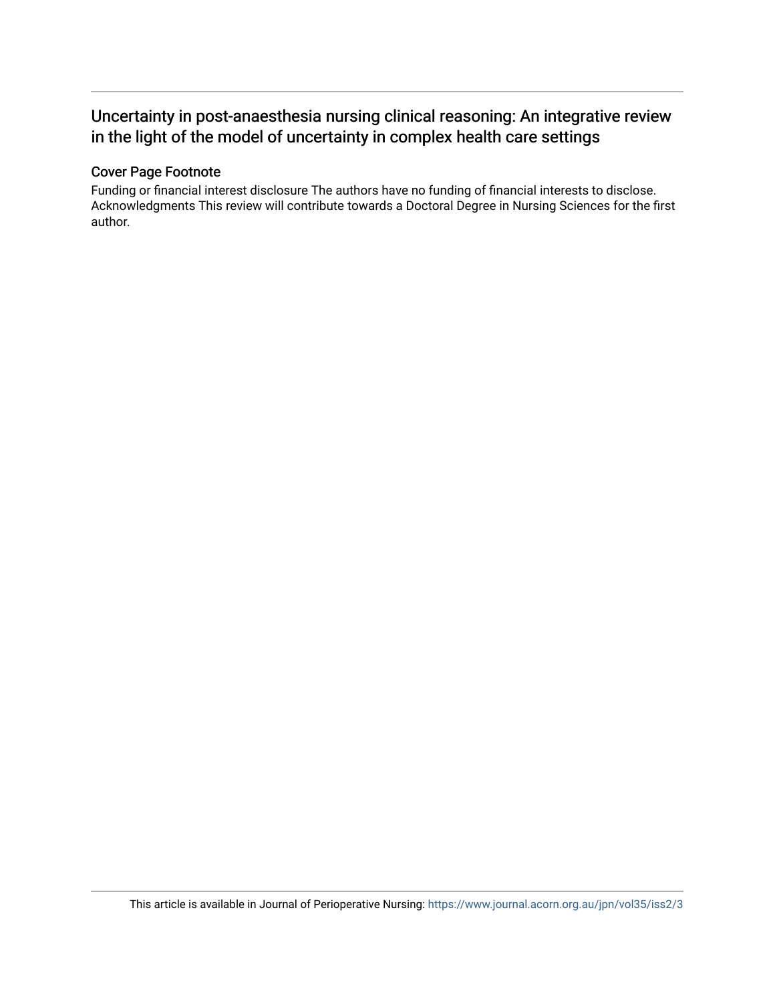# Uncertainty in post-anaesthesia nursing clinical reasoning: An integrative review in the light of the model of uncertainty in complex health care settings

### Cover Page Footnote

Funding or financial interest disclosure The authors have no funding of financial interests to disclose. Acknowledgments This review will contribute towards a Doctoral Degree in Nursing Sciences for the first author.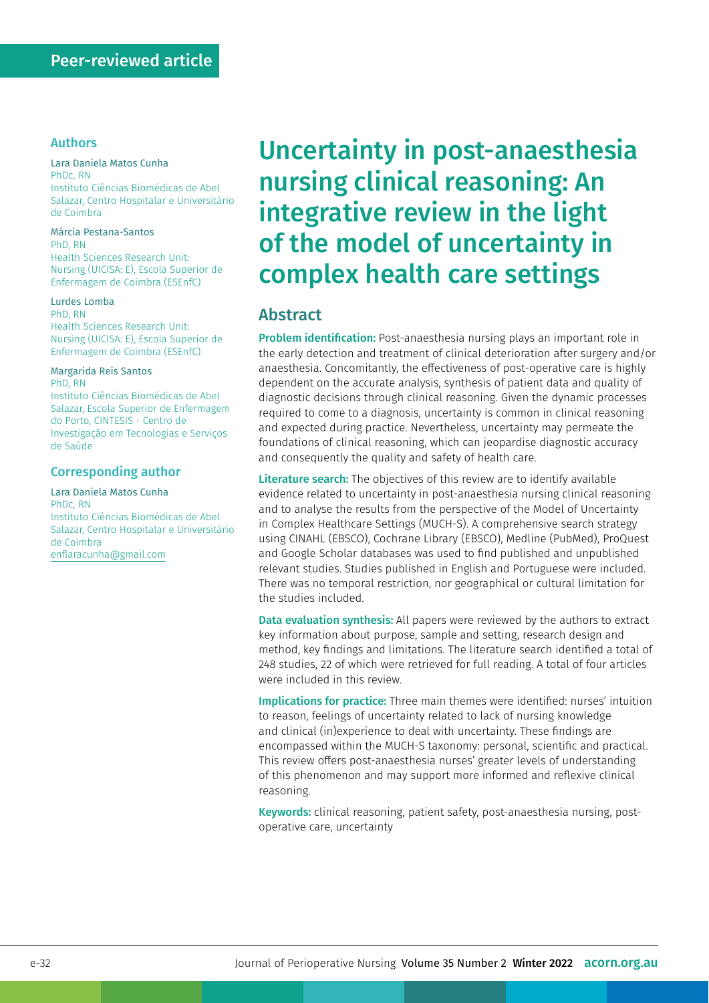### Authors

#### Lara Daniela Matos Cunha

PhDc, RN Instituto Ciências Biomédicas de Abel Salazar, Centro Hospitalar e Universitário de Coimbra

#### Márcia Pestana-Santos PhD, RN

Health Sciences Research Unit: Nursing (UICISA: E), Escola Superior de Enfermagem de Coimbra (ESEnfC)

#### Lurdes Lomba PhD, RN

Health Sciences Research Unit: Nursing (UICISA: E), Escola Superior de Enfermagem de Coimbra (ESEnfC)

#### Margarida Reis Santos

PhD, RN

Instituto Ciências Biomédicas de Abel Salazar, Escola Superior de Enfermagem do Porto, CINTESIS - Centro de Investigação em Tecnologias e Serviços de Saúde

#### Corresponding author

Lara Daniela Matos Cunha PhDc, RN Instituto Ciências Biomédicas de Abel Salazar, Centro Hospitalar e Universitário de Coimbra [enflaracunha@gmail.com](mailto:enflaracunha@gmail.com)

# Uncertainty in post-anaesthesia nursing clinical reasoning: An integrative review in the light of the model of uncertainty in complex health care settings

### Abstract

**Problem identification:** Post-anaesthesia nursing plays an important role in the early detection and treatment of clinical deterioration after surgery and/or anaesthesia. Concomitantly, the effectiveness of post-operative care is highly dependent on the accurate analysis, synthesis of patient data and quality of diagnostic decisions through clinical reasoning. Given the dynamic processes required to come to a diagnosis, uncertainty is common in clinical reasoning and expected during practice. Nevertheless, uncertainty may permeate the foundations of clinical reasoning, which can jeopardise diagnostic accuracy and consequently the quality and safety of health care.

Literature search: The objectives of this review are to identify available evidence related to uncertainty in post-anaesthesia nursing clinical reasoning and to analyse the results from the perspective of the Model of Uncertainty in Complex Healthcare Settings (MUCH-S). A comprehensive search strategy using CINAHL (EBSCO), Cochrane Library (EBSCO), Medline (PubMed), ProQuest and Google Scholar databases was used to find published and unpublished relevant studies. Studies published in English and Portuguese were included. There was no temporal restriction, nor geographical or cultural limitation for the studies included.

Data evaluation synthesis: All papers were reviewed by the authors to extract key information about purpose, sample and setting, research design and method, key findings and limitations. The literature search identified a total of 248 studies, 22 of which were retrieved for full reading. A total of four articles were included in this review.

Implications for practice: Three main themes were identified: nurses' intuition to reason, feelings of uncertainty related to lack of nursing knowledge and clinical (in)experience to deal with uncertainty. These findings are encompassed within the MUCH-S taxonomy: personal, scientific and practical. This review offers post-anaesthesia nurses' greater levels of understanding of this phenomenon and may support more informed and reflexive clinical reasoning.

Keywords: clinical reasoning, patient safety, post-anaesthesia nursing, postoperative care, uncertainty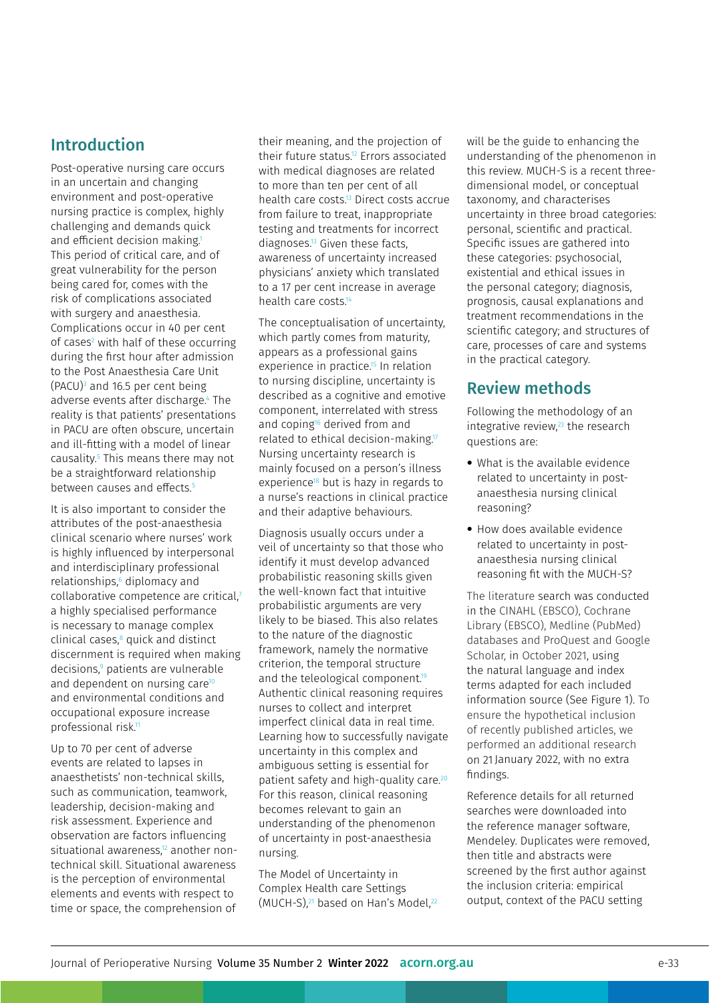# Introduction

Post-operative nursing care occurs in an uncertain and changing environment and post-operative nursing practice is complex, highly challenging and demands quick and efficient decision making.<sup>1</sup> This period of critical care, and of great vulnerability for the person being cared for, comes with the risk of complications associated with surgery and anaesthesia. Complications occur in 40 per cent of cases<sup>2</sup> with half of these occurring during the first hour after admission to the Post Anaesthesia Care Unit (PACU)<sup>3</sup> and 16.5 per cent being adverse events after discharge.4 The reality is that patients' presentations in PACU are often obscure, uncertain and ill-fitting with a model of linear causality.5 This means there may not be a straightforward relationship between causes and effects.<sup>5</sup>

It is also important to consider the attributes of the post-anaesthesia clinical scenario where nurses' work is highly influenced by interpersonal and interdisciplinary professional relationships,<sup>6</sup> diplomacy and collaborative competence are critical,7 a highly specialised performance is necessary to manage complex clinical cases,8 quick and distinct discernment is required when making decisions,<sup>9</sup> patients are vulnerable and dependent on nursing care<sup>10</sup> and environmental conditions and occupational exposure increase professional risk.11

Up to 70 per cent of adverse events are related to lapses in anaesthetists' non-technical skills, such as communication, teamwork, leadership, decision-making and risk assessment. Experience and observation are factors influencing situational awareness, $12$  another nontechnical skill. Situational awareness is the perception of environmental elements and events with respect to time or space, the comprehension of their meaning, and the projection of their future status.12 Errors associated with medical diagnoses are related to more than ten per cent of all health care costs.13 Direct costs accrue from failure to treat, inappropriate testing and treatments for incorrect diagnoses.13 Given these facts, awareness of uncertainty increased physicians' anxiety which translated to a 17 per cent increase in average health care costs.<sup>14</sup>

The conceptualisation of uncertainty, which partly comes from maturity, appears as a professional gains experience in practice.<sup>15</sup> In relation to nursing discipline, uncertainty is described as a cognitive and emotive component, interrelated with stress and coping<sup>16</sup> derived from and related to ethical decision-making.<sup>17</sup> Nursing uncertainty research is mainly focused on a person's illness experience18 but is hazy in regards to a nurse's reactions in clinical practice and their adaptive behaviours.

Diagnosis usually occurs under a veil of uncertainty so that those who identify it must develop advanced probabilistic reasoning skills given the well-known fact that intuitive probabilistic arguments are very likely to be biased. This also relates to the nature of the diagnostic framework, namely the normative criterion, the temporal structure and the teleological component.<sup>19</sup> Authentic clinical reasoning requires nurses to collect and interpret imperfect clinical data in real time. Learning how to successfully navigate uncertainty in this complex and ambiguous setting is essential for patient safety and high-quality care.<sup>20</sup> For this reason, clinical reasoning becomes relevant to gain an understanding of the phenomenon of uncertainty in post-anaesthesia nursing.

The Model of Uncertainty in Complex Health care Settings (MUCH-S),<sup>21</sup> based on Han's Model,<sup>22</sup> will be the guide to enhancing the understanding of the phenomenon in this review. MUCH-S is a recent three‐ dimensional model, or conceptual taxonomy, and characterises uncertainty in three broad categories: personal, scientific and practical. Specific issues are gathered into these categories: psychosocial, existential and ethical issues in the personal category; diagnosis, prognosis, causal explanations and treatment recommendations in the scientific category; and structures of care, processes of care and systems in the practical category.

# Review methods

Following the methodology of an integrative review, $23$  the research questions are:

- What is the available evidence related to uncertainty in postanaesthesia nursing clinical reasoning?
- How does available evidence related to uncertainty in postanaesthesia nursing clinical reasoning fit with the MUCH-S?

The literature search was conducted in the CINAHL (EBSCO), Cochrane Library (EBSCO), Medline (PubMed) databases and ProQuest and Google Scholar, in October 2021, using the natural language and index terms adapted for each included information source (See Figure 1). To ensure the hypothetical inclusion of recently published articles, we performed an additional research on 21 January 2022, with no extra findings.

Reference details for all returned searches were downloaded into the reference manager software, Mendeley. Duplicates were removed, then title and abstracts were screened by the first author against the inclusion criteria: empirical output, context of the PACU setting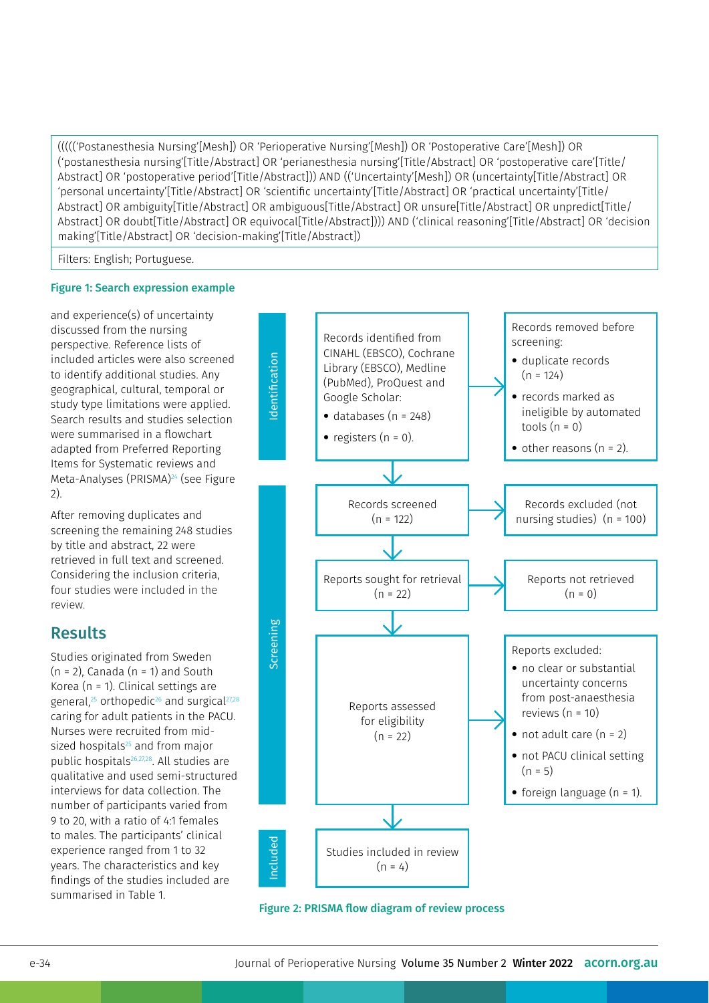((((('Postanesthesia Nursing'[Mesh]) OR 'Perioperative Nursing'[Mesh]) OR 'Postoperative Care'[Mesh]) OR ('postanesthesia nursing'[Title/Abstract] OR 'perianesthesia nursing'[Title/Abstract] OR 'postoperative care'[Title/ Abstract] OR 'postoperative period'[Title/Abstract])) AND (('Uncertainty'[Mesh]) OR (uncertainty[Title/Abstract] OR 'personal uncertainty'[Title/Abstract] OR 'scientific uncertainty'[Title/Abstract] OR 'practical uncertainty'[Title/ Abstract] OR ambiguity[Title/Abstract] OR ambiguous[Title/Abstract] OR unsure[Title/Abstract] OR unpredict[Title/ Abstract] OR doubt[Title/Abstract] OR equivocal[Title/Abstract]))) AND ('clinical reasoning'[Title/Abstract] OR 'decision making'[Title/Abstract] OR 'decision-making'[Title/Abstract])

Filters: English; Portuguese.

#### Figure 1: Search expression example

and experience(s) of uncertainty discussed from the nursing perspective. Reference lists of included articles were also screened to identify additional studies. Any geographical, cultural, temporal or study type limitations were applied. Search results and studies selection were summarised in a flowchart adapted from Preferred Reporting Items for Systematic reviews and Meta-Analyses (PRISMA)<sup>24</sup> (see Figure 2).

After removing duplicates and screening the remaining 248 studies by title and abstract, 22 were retrieved in full text and screened. Considering the inclusion criteria, four studies were included in the review.

# Results

Studies originated from Sweden  $(n = 2)$ , Canada  $(n = 1)$  and South Korea (n = 1). Clinical settings are general, $25$  orthopedic<sup>26</sup> and surgical $27,28$ caring for adult patients in the PACU. Nurses were recruited from midsized hospitals<sup>25</sup> and from major public hospitals<sup>26,27,28</sup>. All studies are qualitative and used semi-structured interviews for data collection. The number of participants varied from 9 to 20, with a ratio of 4:1 females to males. The participants' clinical experience ranged from 1 to 32 years. The characteristics and key findings of the studies included are summarised in Table 1.



Figure 2: PRISMA flow diagram of review process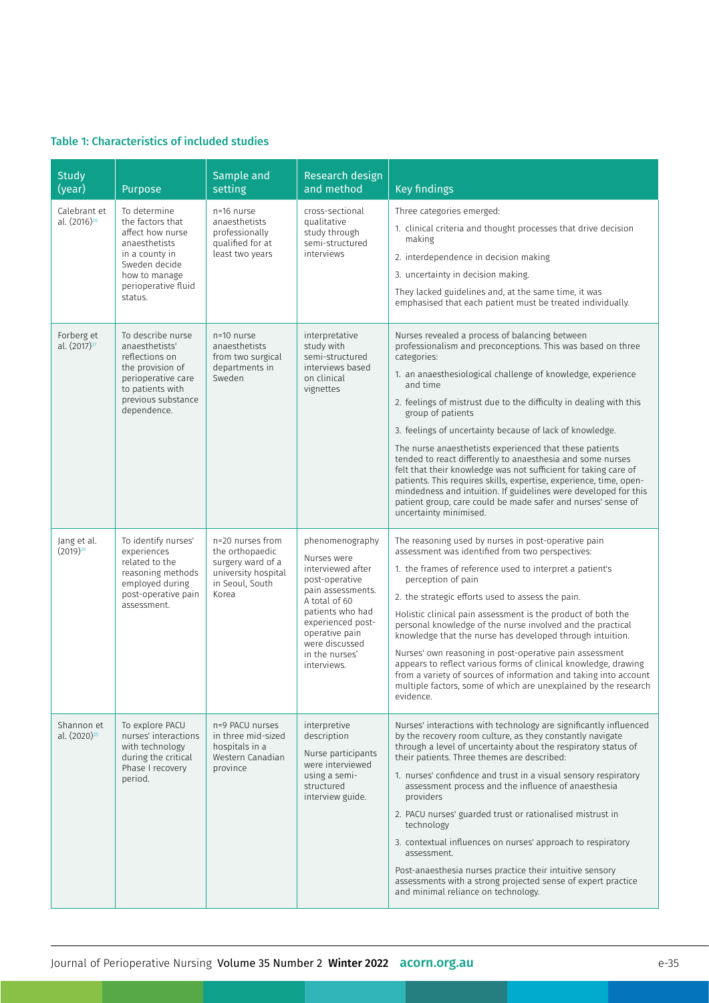## Table 1: Characteristics of included studies

| <b>Study</b><br>(year)                 | Purpose                                                                                                                                                     | Sample and<br>setting                                                                                       | Research design<br>and method                                                                                                                                                                                             | <b>Key findings</b>                                                                                                                                                                                                                                                                                                                                                                                                                                                                                                                                                                                                                                                                                                                                                                           |
|----------------------------------------|-------------------------------------------------------------------------------------------------------------------------------------------------------------|-------------------------------------------------------------------------------------------------------------|---------------------------------------------------------------------------------------------------------------------------------------------------------------------------------------------------------------------------|-----------------------------------------------------------------------------------------------------------------------------------------------------------------------------------------------------------------------------------------------------------------------------------------------------------------------------------------------------------------------------------------------------------------------------------------------------------------------------------------------------------------------------------------------------------------------------------------------------------------------------------------------------------------------------------------------------------------------------------------------------------------------------------------------|
| Calebrant et<br>al. $(2016)^{28}$      | To determine<br>the factors that<br>affect how nurse<br>anaesthetists<br>in a county in<br>Sweden decide<br>how to manage<br>perioperative fluid<br>status. | n=16 nurse<br>anaesthetists<br>professionally<br>qualified for at<br>least two years                        | cross-sectional<br>qualitative<br>study through<br>semi-structured<br>interviews                                                                                                                                          | Three categories emerged:<br>1. clinical criteria and thought processes that drive decision<br>making<br>2. interdependence in decision making<br>3. uncertainty in decision making.<br>They lacked guidelines and, at the same time, it was<br>emphasised that each patient must be treated individually.                                                                                                                                                                                                                                                                                                                                                                                                                                                                                    |
| Forberg et<br>al. (2017) <sup>27</sup> | To describe nurse<br>anaesthetists'<br>reflections on<br>the provision of<br>perioperative care<br>to patients with<br>previous substance<br>dependence.    | n=10 nurse<br>anaesthetists<br>from two surgical<br>departments in<br>Sweden                                | interpretative<br>study with<br>semi-structured<br>interviews based<br>on clinical<br>vignettes                                                                                                                           | Nurses revealed a process of balancing between<br>professionalism and preconceptions. This was based on three<br>categories:<br>1. an anaesthesiological challenge of knowledge, experience<br>and time<br>2. feelings of mistrust due to the difficulty in dealing with this<br>group of patients<br>3. feelings of uncertainty because of lack of knowledge.<br>The nurse anaesthetists experienced that these patients<br>tended to react differently to anaesthesia and some nurses<br>felt that their knowledge was not sufficient for taking care of<br>patients. This requires skills, expertise, experience, time, open-<br>mindedness and intuition. If guidelines were developed for this<br>patient group, care could be made safer and nurses' sense of<br>uncertainty minimised. |
| Jang et al.<br>$(2019)^{26}$           | To identify nurses'<br>experiences<br>related to the<br>reasoning methods<br>employed during<br>post-operative pain<br>assessment.                          | n=20 nurses from<br>the orthopaedic<br>surgery ward of a<br>university hospital<br>in Seoul, South<br>Korea | phenomenography<br>Nurses were<br>interviewed after<br>post-operative<br>pain assessments.<br>A total of 60<br>patients who had<br>experienced post-<br>operative pain<br>were discussed<br>in the nurses'<br>interviews. | The reasoning used by nurses in post-operative pain<br>assessment was identified from two perspectives:<br>1. the frames of reference used to interpret a patient's<br>perception of pain<br>2. the strategic efforts used to assess the pain.<br>Holistic clinical pain assessment is the product of both the<br>personal knowledge of the nurse involved and the practical<br>knowledge that the nurse has developed through intuition.<br>Nurses' own reasoning in post-operative pain assessment<br>appears to reflect various forms of clinical knowledge, drawing<br>from a variety of sources of information and taking into account<br>multiple factors, some of which are unexplained by the research<br>evidence.                                                                   |
| Shannon et<br>al. (2020) <sup>25</sup> | To explore PACU<br>nurses' interactions<br>with technology<br>during the critical<br>Phase I recovery<br>period.                                            | n=9 PACU nurses<br>in three mid-sized<br>hospitals in a<br>Western Canadian<br>province                     | interpretive<br>description<br>Nurse participants<br>were interviewed<br>using a semi-<br>structured<br>interview guide.                                                                                                  | Nurses' interactions with technology are significantly influenced<br>by the recovery room culture, as they constantly navigate<br>through a level of uncertainty about the respiratory status of<br>their patients. Three themes are described:<br>1. nurses' confidence and trust in a visual sensory respiratory<br>assessment process and the influence of anaesthesia<br>providers<br>2. PACU nurses' guarded trust or rationalised mistrust in<br>technology<br>3. contextual influences on nurses' approach to respiratory<br>assessment.<br>Post-anaesthesia nurses practice their intuitive sensory<br>assessments with a strong projected sense of expert practice<br>and minimal reliance on technology.                                                                            |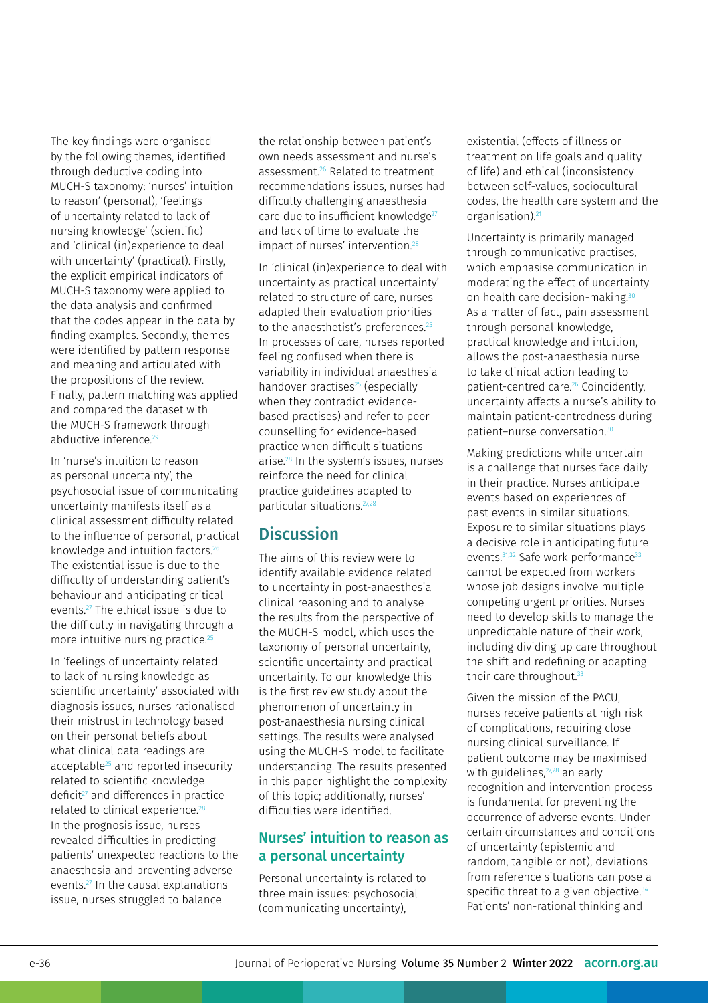The key findings were organised by the following themes, identified through deductive coding into MUCH-S taxonomy: 'nurses' intuition to reason' (personal), 'feelings of uncertainty related to lack of nursing knowledge' (scientific) and 'clinical (in)experience to deal with uncertainty' (practical). Firstly, the explicit empirical indicators of MUCH-S taxonomy were applied to the data analysis and confirmed that the codes appear in the data by finding examples. Secondly, themes were identified by pattern response and meaning and articulated with the propositions of the review. Finally, pattern matching was applied and compared the dataset with the MUCH-S framework through abductive inference.<sup>29</sup>

In 'nurse's intuition to reason as personal uncertainty', the psychosocial issue of communicating uncertainty manifests itself as a clinical assessment difficulty related to the influence of personal, practical knowledge and intuition factors.<sup>26</sup> The existential issue is due to the difficulty of understanding patient's behaviour and anticipating critical events.27 The ethical issue is due to the difficulty in navigating through a more intuitive nursing practice.<sup>25</sup>

In 'feelings of uncertainty related to lack of nursing knowledge as scientific uncertainty' associated with diagnosis issues, nurses rationalised their mistrust in technology based on their personal beliefs about what clinical data readings are acceptable<sup>25</sup> and reported insecurity related to scientific knowledge deficit<sup>27</sup> and differences in practice related to clinical experience.<sup>28</sup> In the prognosis issue, nurses revealed difficulties in predicting patients' unexpected reactions to the anaesthesia and preventing adverse events.27 In the causal explanations issue, nurses struggled to balance

the relationship between patient's own needs assessment and nurse's assessment.26 Related to treatment recommendations issues, nurses had difficulty challenging anaesthesia care due to insufficient knowledge<sup>27</sup> and lack of time to evaluate the impact of nurses' intervention.<sup>28</sup>

In 'clinical (in)experience to deal with uncertainty as practical uncertainty' related to structure of care, nurses adapted their evaluation priorities to the anaesthetist's preferences.<sup>25</sup> In processes of care, nurses reported feeling confused when there is variability in individual anaesthesia handover practises<sup>25</sup> (especially when they contradict evidencebased practises) and refer to peer counselling for evidence-based practice when difficult situations arise.28 In the system's issues, nurses reinforce the need for clinical practice guidelines adapted to particular situations.27,28

# **Discussion**

The aims of this review were to identify available evidence related to uncertainty in post-anaesthesia clinical reasoning and to analyse the results from the perspective of the MUCH-S model, which uses the taxonomy of personal uncertainty, scientific uncertainty and practical uncertainty. To our knowledge this is the first review study about the phenomenon of uncertainty in post-anaesthesia nursing clinical settings. The results were analysed using the MUCH-S model to facilitate understanding. The results presented in this paper highlight the complexity of this topic; additionally, nurses' difficulties were identified.

### Nurses' intuition to reason as a personal uncertainty

Personal uncertainty is related to three main issues: psychosocial (communicating uncertainty),

existential (effects of illness or treatment on life goals and quality of life) and ethical (inconsistency between self-values, sociocultural codes, the health care system and the organisation).21

Uncertainty is primarily managed through communicative practises, which emphasise communication in moderating the effect of uncertainty on health care decision-making.<sup>30</sup> As a matter of fact, pain assessment through personal knowledge, practical knowledge and intuition, allows the post-anaesthesia nurse to take clinical action leading to patient-centred care.26 Coincidently, uncertainty affects a nurse's ability to maintain patient-centredness during patient–nurse conversation.30

Making predictions while uncertain is a challenge that nurses face daily in their practice. Nurses anticipate events based on experiences of past events in similar situations. Exposure to similar situations plays a decisive role in anticipating future events.<sup>31,32</sup> Safe work performance<sup>33</sup> cannot be expected from workers whose job designs involve multiple competing urgent priorities. Nurses need to develop skills to manage the unpredictable nature of their work, including dividing up care throughout the shift and redefining or adapting their care throughout.<sup>33</sup>

Given the mission of the PACU, nurses receive patients at high risk of complications, requiring close nursing clinical surveillance. If patient outcome may be maximised with guidelines, $27,28$  an early recognition and intervention process is fundamental for preventing the occurrence of adverse events. Under certain circumstances and conditions of uncertainty (epistemic and random, tangible or not), deviations from reference situations can pose a specific threat to a given objective. $34$ Patients' non-rational thinking and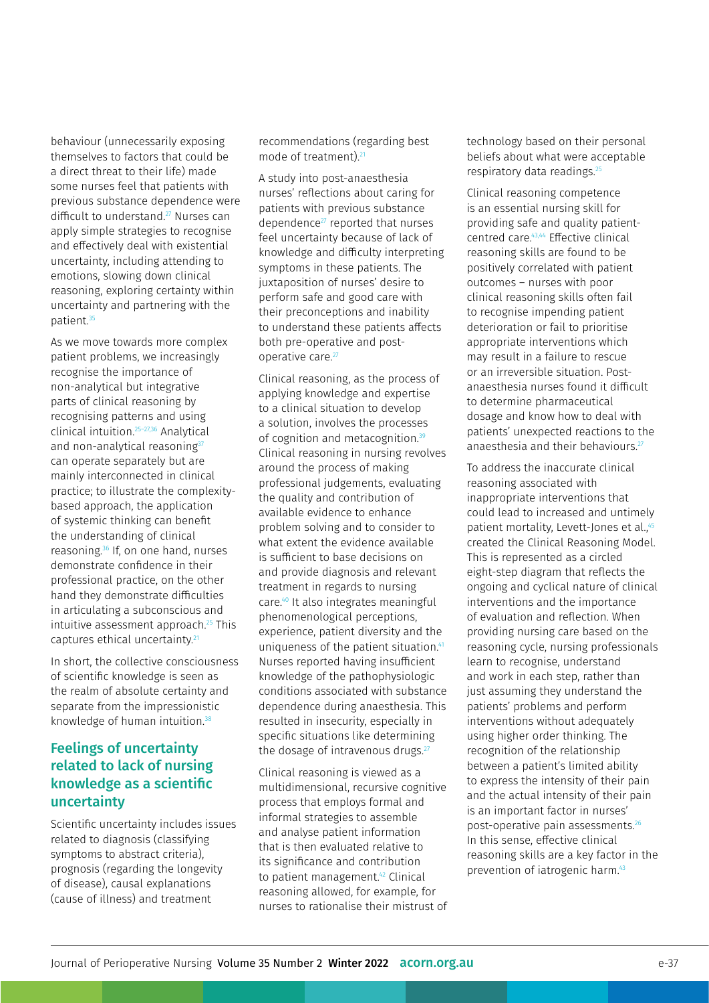behaviour (unnecessarily exposing themselves to factors that could be a direct threat to their life) made some nurses feel that patients with previous substance dependence were difficult to understand.<sup>27</sup> Nurses can apply simple strategies to recognise and effectively deal with existential uncertainty, including attending to emotions, slowing down clinical reasoning, exploring certainty within uncertainty and partnering with the patient.<sup>35</sup>

As we move towards more complex patient problems, we increasingly recognise the importance of non-analytical but integrative parts of clinical reasoning by recognising patterns and using clinical intuition.25–27,36 Analytical and non-analytical reasoning<sup>37</sup> can operate separately but are mainly interconnected in clinical practice; to illustrate the complexitybased approach, the application of systemic thinking can benefit the understanding of clinical reasoning.36 If, on one hand, nurses demonstrate confidence in their professional practice, on the other hand they demonstrate difficulties in articulating a subconscious and intuitive assessment approach.<sup>25</sup> This captures ethical uncertainty.<sup>21</sup>

In short, the collective consciousness of scientific knowledge is seen as the realm of absolute certainty and separate from the impressionistic knowledge of human intuition.<sup>38</sup>

### Feelings of uncertainty related to lack of nursing knowledge as a scientific uncertainty

Scientific uncertainty includes issues related to diagnosis (classifying symptoms to abstract criteria), prognosis (regarding the longevity of disease), causal explanations (cause of illness) and treatment

recommendations (regarding best mode of treatment).21

A study into post-anaesthesia nurses' reflections about caring for patients with previous substance dependence<sup>27</sup> reported that nurses feel uncertainty because of lack of knowledge and difficulty interpreting symptoms in these patients. The juxtaposition of nurses' desire to perform safe and good care with their preconceptions and inability to understand these patients affects both pre-operative and postoperative care.<sup>27</sup>

Clinical reasoning, as the process of applying knowledge and expertise to a clinical situation to develop a solution, involves the processes of cognition and metacognition.<sup>39</sup> Clinical reasoning in nursing revolves around the process of making professional judgements, evaluating the quality and contribution of available evidence to enhance problem solving and to consider to what extent the evidence available is sufficient to base decisions on and provide diagnosis and relevant treatment in regards to nursing care.40 It also integrates meaningful phenomenological perceptions, experience, patient diversity and the uniqueness of the patient situation.<sup>41</sup> Nurses reported having insufficient knowledge of the pathophysiologic conditions associated with substance dependence during anaesthesia. This resulted in insecurity, especially in specific situations like determining the dosage of intravenous drugs.<sup>27</sup>

Clinical reasoning is viewed as a multidimensional, recursive cognitive process that employs formal and informal strategies to assemble and analyse patient information that is then evaluated relative to its significance and contribution to patient management.<sup>42</sup> Clinical reasoning allowed, for example, for nurses to rationalise their mistrust of technology based on their personal beliefs about what were acceptable respiratory data readings.25

Clinical reasoning competence is an essential nursing skill for providing safe and quality patientcentred care.43,44 Effective clinical reasoning skills are found to be positively correlated with patient outcomes – nurses with poor clinical reasoning skills often fail to recognise impending patient deterioration or fail to prioritise appropriate interventions which may result in a failure to rescue or an irreversible situation. Postanaesthesia nurses found it difficult to determine pharmaceutical dosage and know how to deal with patients' unexpected reactions to the anaesthesia and their behaviours.<sup>27</sup>

To address the inaccurate clinical reasoning associated with inappropriate interventions that could lead to increased and untimely patient mortality, Levett-Jones et al.,<sup>45</sup> created the Clinical Reasoning Model. This is represented as a circled eight-step diagram that reflects the ongoing and cyclical nature of clinical interventions and the importance of evaluation and reflection. When providing nursing care based on the reasoning cycle, nursing professionals learn to recognise, understand and work in each step, rather than just assuming they understand the patients' problems and perform interventions without adequately using higher order thinking. The recognition of the relationship between a patient's limited ability to express the intensity of their pain and the actual intensity of their pain is an important factor in nurses' post-operative pain assessments.26 In this sense, effective clinical reasoning skills are a key factor in the prevention of iatrogenic harm.43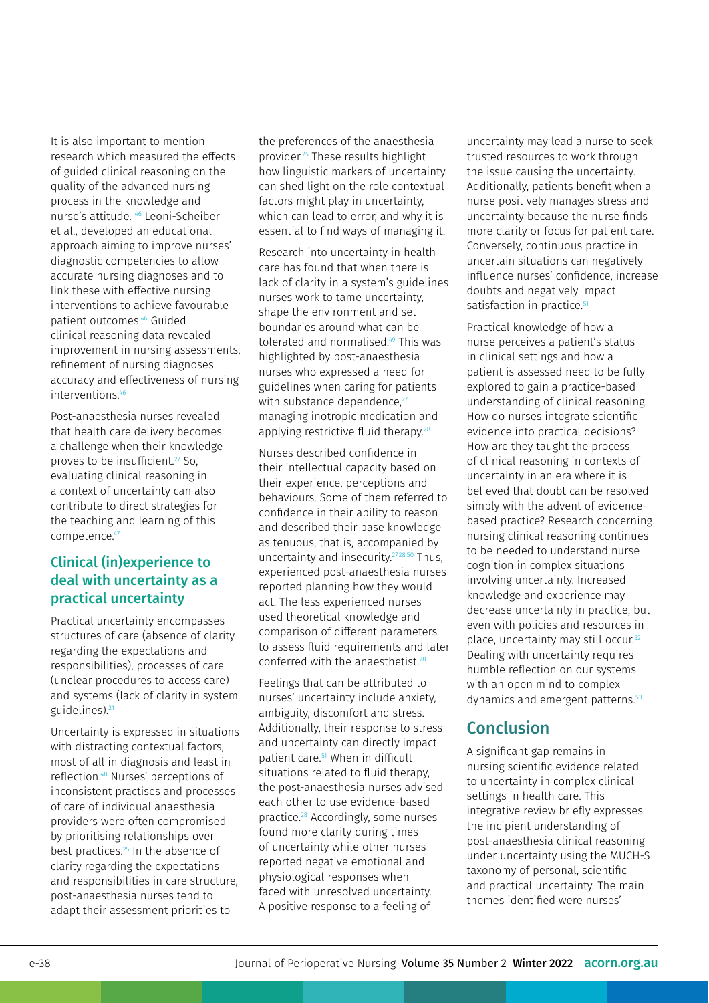It is also important to mention research which measured the effects of guided clinical reasoning on the quality of the advanced nursing process in the knowledge and nurse's attitude. 46 Leoni‐Scheiber et al., developed an educational approach aiming to improve nurses' diagnostic competencies to allow accurate nursing diagnoses and to link these with effective nursing interventions to achieve favourable patient outcomes.46 Guided clinical reasoning data revealed improvement in nursing assessments, refinement of nursing diagnoses accuracy and effectiveness of nursing interventions.46

Post-anaesthesia nurses revealed that health care delivery becomes a challenge when their knowledge proves to be insufficient.<sup>27</sup> So, evaluating clinical reasoning in a context of uncertainty can also contribute to direct strategies for the teaching and learning of this competence.<sup>47</sup>

## Clinical (in)experience to deal with uncertainty as a practical uncertainty

Practical uncertainty encompasses structures of care (absence of clarity regarding the expectations and responsibilities), processes of care (unclear procedures to access care) and systems (lack of clarity in system guidelines).21

Uncertainty is expressed in situations with distracting contextual factors, most of all in diagnosis and least in reflection.48 Nurses' perceptions of inconsistent practises and processes of care of individual anaesthesia providers were often compromised by prioritising relationships over best practices.<sup>25</sup> In the absence of clarity regarding the expectations and responsibilities in care structure, post-anaesthesia nurses tend to adapt their assessment priorities to

the preferences of the anaesthesia provider.25 These results highlight how linguistic markers of uncertainty can shed light on the role contextual factors might play in uncertainty, which can lead to error, and why it is essential to find ways of managing it.

Research into uncertainty in health care has found that when there is lack of clarity in a system's guidelines nurses work to tame uncertainty, shape the environment and set boundaries around what can be tolerated and normalised.<sup>49</sup> This was highlighted by post-anaesthesia nurses who expressed a need for guidelines when caring for patients with substance dependence.<sup>27</sup> managing inotropic medication and applying restrictive fluid therapy.<sup>28</sup>

Nurses described confidence in their intellectual capacity based on their experience, perceptions and behaviours. Some of them referred to confidence in their ability to reason and described their base knowledge as tenuous, that is, accompanied by uncertainty and insecurity.27,28,50 Thus, experienced post-anaesthesia nurses reported planning how they would act. The less experienced nurses used theoretical knowledge and comparison of different parameters to assess fluid requirements and later conferred with the anaesthetist.28

Feelings that can be attributed to nurses' uncertainty include anxiety, ambiguity, discomfort and stress. Additionally, their response to stress and uncertainty can directly impact patient care.<sup>51</sup> When in difficult situations related to fluid therapy, the post-anaesthesia nurses advised each other to use evidence-based practice.28 Accordingly, some nurses found more clarity during times of uncertainty while other nurses reported negative emotional and physiological responses when faced with unresolved uncertainty. A positive response to a feeling of

uncertainty may lead a nurse to seek trusted resources to work through the issue causing the uncertainty. Additionally, patients benefit when a nurse positively manages stress and uncertainty because the nurse finds more clarity or focus for patient care. Conversely, continuous practice in uncertain situations can negatively influence nurses' confidence, increase doubts and negatively impact satisfaction in practice.<sup>51</sup>

Practical knowledge of how a nurse perceives a patient's status in clinical settings and how a patient is assessed need to be fully explored to gain a practice-based understanding of clinical reasoning. How do nurses integrate scientific evidence into practical decisions? How are they taught the process of clinical reasoning in contexts of uncertainty in an era where it is believed that doubt can be resolved simply with the advent of evidencebased practice? Research concerning nursing clinical reasoning continues to be needed to understand nurse cognition in complex situations involving uncertainty. Increased knowledge and experience may decrease uncertainty in practice, but even with policies and resources in place, uncertainty may still occur.<sup>52</sup> Dealing with uncertainty requires humble reflection on our systems with an open mind to complex dynamics and emergent patterns.<sup>53</sup>

# Conclusion

A significant gap remains in nursing scientific evidence related to uncertainty in complex clinical settings in health care. This integrative review briefly expresses the incipient understanding of post-anaesthesia clinical reasoning under uncertainty using the MUCH-S taxonomy of personal, scientific and practical uncertainty. The main themes identified were nurses'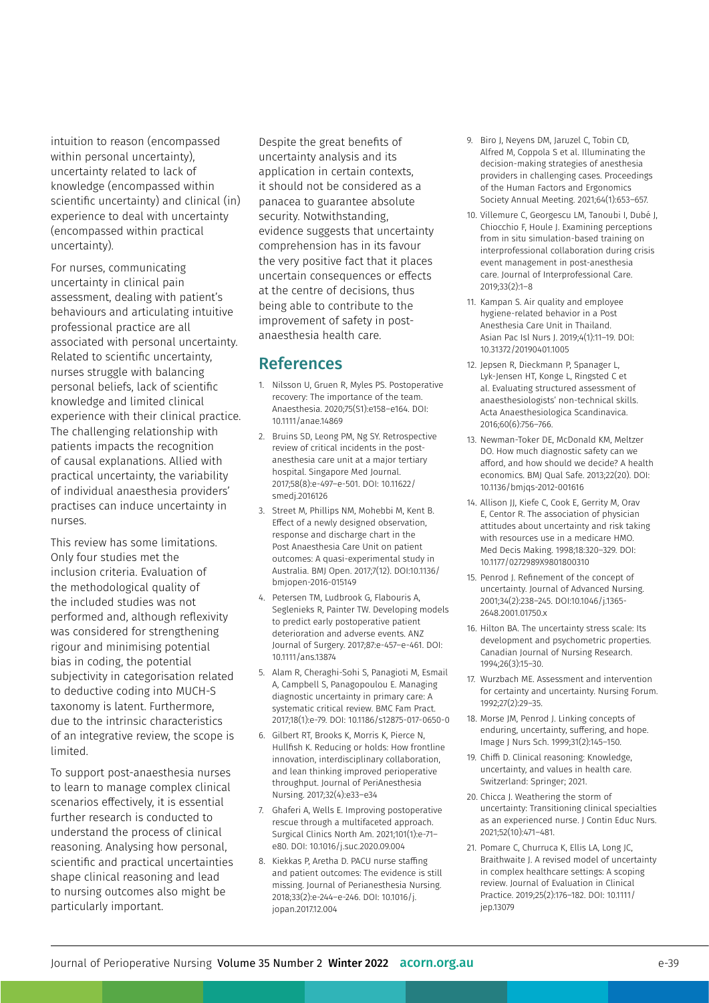intuition to reason (encompassed within personal uncertainty), uncertainty related to lack of knowledge (encompassed within scientific uncertainty) and clinical (in) experience to deal with uncertainty (encompassed within practical uncertainty).

For nurses, communicating uncertainty in clinical pain assessment, dealing with patient's behaviours and articulating intuitive professional practice are all associated with personal uncertainty. Related to scientific uncertainty, nurses struggle with balancing personal beliefs, lack of scientific knowledge and limited clinical experience with their clinical practice. The challenging relationship with patients impacts the recognition of causal explanations. Allied with practical uncertainty, the variability of individual anaesthesia providers' practises can induce uncertainty in nurses.

This review has some limitations. Only four studies met the inclusion criteria. Evaluation of the methodological quality of the included studies was not performed and, although reflexivity was considered for strengthening rigour and minimising potential bias in coding, the potential subjectivity in categorisation related to deductive coding into MUCH-S taxonomy is latent. Furthermore, due to the intrinsic characteristics of an integrative review, the scope is limited.

To support post-anaesthesia nurses to learn to manage complex clinical scenarios effectively, it is essential further research is conducted to understand the process of clinical reasoning. Analysing how personal, scientific and practical uncertainties shape clinical reasoning and lead to nursing outcomes also might be particularly important.

Despite the great benefits of uncertainty analysis and its application in certain contexts, it should not be considered as a panacea to guarantee absolute security. Notwithstanding, evidence suggests that uncertainty comprehension has in its favour the very positive fact that it places uncertain consequences or effects at the centre of decisions, thus being able to contribute to the improvement of safety in postanaesthesia health care.

### **References**

- 1. Nilsson U, Gruen R, Myles PS. Postoperative recovery: The importance of the team. Anaesthesia. 2020;75(S1):e158–e164. DOI: 10.1111/anae.14869
- 2. Bruins SD, Leong PM, Ng SY. Retrospective review of critical incidents in the postanesthesia care unit at a major tertiary hospital. Singapore Med Journal. 2017;58(8):e-497–e-501. DOI: 10.11622/ smedj.2016126
- 3. [Street](https://pubmed.ncbi.nlm.nih.gov/?term=Street+M&cauthor_id=29203501) M, [Phillips](https://pubmed.ncbi.nlm.nih.gov/?term=Phillips+NM&cauthor_id=29203501) NM, [Mohebbi](https://pubmed.ncbi.nlm.nih.gov/?term=Mohebbi+M&cauthor_id=29203501) M, [Kent](https://pubmed.ncbi.nlm.nih.gov/?term=Kent+B&cauthor_id=29203501) B. Effect of a newly designed observation, response and discharge chart in the Post Anaesthesia Care Unit on patient outcomes: A quasi-experimental study in Australia. BMJ Open. 2017;7(12). DOI:10.1136/ bmjopen-2016-015149
- 4. Petersen TM, Ludbrook G, Flabouris A, Seglenieks R, Painter TW. Developing models to predict early postoperative patient deterioration and adverse events. ANZ Journal of Surgery. 2017;87:e-457–e-461. DOI: 10.1111/ans.13874
- 5. Alam R, Cheraghi-Sohi S, Panagioti M, Esmail A, Campbell S, Panagopoulou E. Managing diagnostic uncertainty in primary care: A systematic critical review. BMC Fam Pract. 2017;18(1):e-79. DOI: 10.1186/s12875-017-0650-0
- 6. Gilbert RT, Brooks K, Morris K, Pierce N, Hullfish K. Reducing or holds: How frontline innovation, interdisciplinary collaboration, and lean thinking improved perioperative throughput. Journal of PeriAnesthesia Nursing. 2017;32(4):e33–e34
- 7. Ghaferi A, Wells E. Improving postoperative rescue through a multifaceted approach. Surgical Clinics North Am. 2021;[101\(1](https://www.surgical.theclinics.com/issue/S0039-6109(20)X0007-7)):e-71– e80. DOI: 10.1016/j.suc.2020.09.004
- 8. Kiekkas P, Aretha D. PACU nurse staffing and patient outcomes: The evidence is still missing. Journal of Perianesthesia Nursing. 2018;33(2):e-244–e-246. DOI: [10.1016/j.](https://doi.org/10.1016/j.jopan.2017.12.004) [jopan.2017.12.004](https://doi.org/10.1016/j.jopan.2017.12.004)
- 9. Biro J, Neyens DM, Jaruzel C, Tobin CD, Alfred M, Coppola S et al. Illuminating the decision-making strategies of anesthesia providers in challenging cases. Proceedings of the Human Factors and Ergonomics Society Annual Meeting. 2021;64(1):653–657.
- 10. Villemure C, Georgescu LM, Tanoubi I, Dubé J, Chiocchio F, Houle J. Examining perceptions from in situ simulation-based training on interprofessional collaboration during crisis event management in post-anesthesia care. Journal of Interprofessional Care. 2019;33(2):1–8
- 11. Kampan S. Air quality and employee hygiene-related behavior in a Post Anesthesia Care Unit in Thailand. [Asian Pac Isl Nurs J.](https://www.ncbi.nlm.nih.gov/pmc/articles/PMC6484197/) 2019;4(1):11–19. DOI: [10.31372/20190401.1005](https://doi.org/10.31372/20190401.1005)
- 12. Jepsen R, Dieckmann P, Spanager L, Lyk-Jensen HT, Konge L, Ringsted C et al. Evaluating structured assessment of anaesthesiologists' non-technical skills. Acta Anaesthesiologica Scandinavica. 2016;60(6):756–766.
- 13. Newman-Toker DE, McDonald KM, Meltzer DO. How much diagnostic safety can we afford, and how should we decide? A health economics. BMJ Qual Safe. 2013;22(20). DOI: 10.1136/bmjqs-2012-001616
- 14. Allison JJ, Kiefe C, Cook E, Gerrity M, Orav E, Centor R. The association of physician attitudes about uncertainty and risk taking with resources use in a medicare HMO. Med Decis Making. 1998;18:320–329. DOI: 10.1177/0272989X9801800310
- 15. Penrod J. Refinement of the concept of uncertainty. Journal of Advanced Nursing. 2001;34(2):238–245. DOI:10.1046/j.1365- 2648.2001.01750.x
- 16. Hilton BA. The uncertainty stress scale: Its development and psychometric properties. Canadian Journal of Nursing Research. 1994;26(3):15–30.
- 17. Wurzbach ME. Assessment and intervention for certainty and uncertainty. Nursing Forum. 1992;27(2):29–35.
- 18. Morse JM, Penrod J. Linking concepts of enduring, uncertainty, suffering, and hope. Image J Nurs Sch. 1999;31(2):145–150.
- 19. Chiffi D. Clinical reasoning: Knowledge, uncertainty, and values in health care. Switzerland: Springer; 2021.
- 20. Chicca J. Weathering the storm of uncertainty: Transitioning clinical specialties as an experienced nurse. J Contin Educ Nurs. 2021;52(10):471–481.
- 21. Pomare C, Churruca K, Ellis LA, Long JC, Braithwaite J. A revised model of uncertainty in complex healthcare settings: A scoping review. Journal of Evaluation in Clinical Practice. 2019;25(2):176–182. DOI: 10.1111/ jep.13079